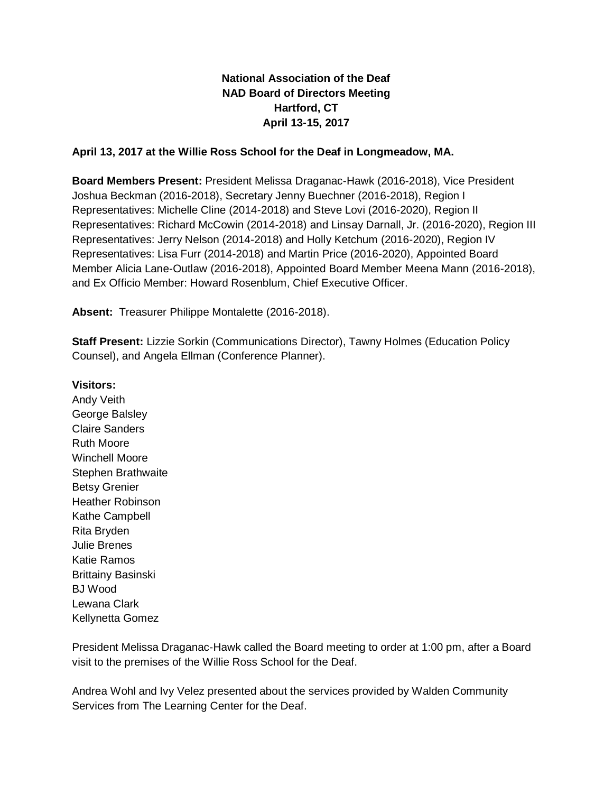## **National Association of the Deaf NAD Board of Directors Meeting Hartford, CT April 13-15, 2017**

## **April 13, 2017 at the Willie Ross School for the Deaf in Longmeadow, MA.**

**Board Members Present:** President Melissa Draganac-Hawk (2016-2018), Vice President Joshua Beckman (2016-2018), Secretary Jenny Buechner (2016-2018), Region I Representatives: Michelle Cline (2014-2018) and Steve Lovi (2016-2020), Region II Representatives: Richard McCowin (2014-2018) and Linsay Darnall, Jr. (2016-2020), Region III Representatives: Jerry Nelson (2014-2018) and Holly Ketchum (2016-2020), Region IV Representatives: Lisa Furr (2014-2018) and Martin Price (2016-2020), Appointed Board Member Alicia Lane-Outlaw (2016-2018), Appointed Board Member Meena Mann (2016-2018), and Ex Officio Member: Howard Rosenblum, Chief Executive Officer.

**Absent:** Treasurer Philippe Montalette (2016-2018).

**Staff Present:** Lizzie Sorkin (Communications Director), Tawny Holmes (Education Policy Counsel), and Angela Ellman (Conference Planner).

**Visitors:** Andy Veith George Balsley Claire Sanders Ruth Moore Winchell Moore Stephen Brathwaite Betsy Grenier Heather Robinson Kathe Campbell Rita Bryden Julie Brenes Katie Ramos Brittainy Basinski BJ Wood Lewana Clark Kellynetta Gomez

President Melissa Draganac-Hawk called the Board meeting to order at 1:00 pm, after a Board visit to the premises of the Willie Ross School for the Deaf.

Andrea Wohl and Ivy Velez presented about the services provided by Walden Community Services from The Learning Center for the Deaf.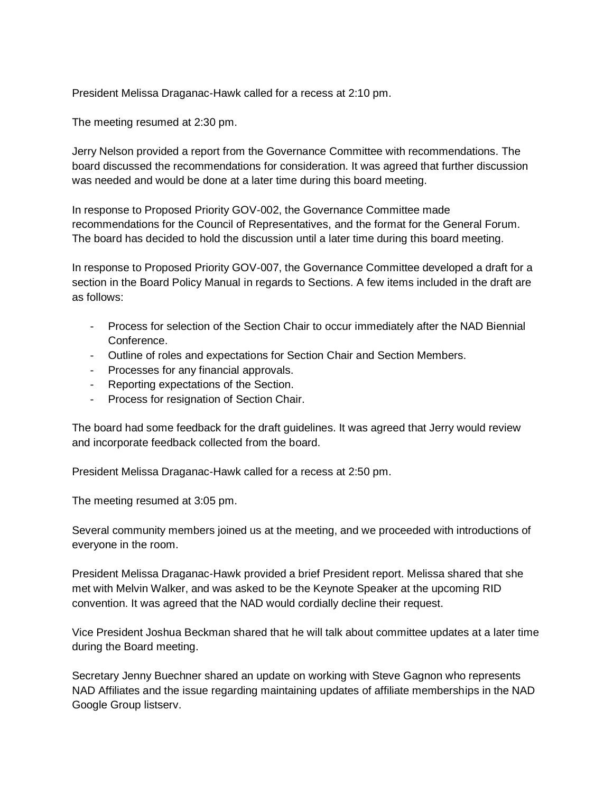President Melissa Draganac-Hawk called for a recess at 2:10 pm.

The meeting resumed at 2:30 pm.

Jerry Nelson provided a report from the Governance Committee with recommendations. The board discussed the recommendations for consideration. It was agreed that further discussion was needed and would be done at a later time during this board meeting.

In response to Proposed Priority GOV-002, the Governance Committee made recommendations for the Council of Representatives, and the format for the General Forum. The board has decided to hold the discussion until a later time during this board meeting.

In response to Proposed Priority GOV-007, the Governance Committee developed a draft for a section in the Board Policy Manual in regards to Sections. A few items included in the draft are as follows:

- Process for selection of the Section Chair to occur immediately after the NAD Biennial Conference.
- Outline of roles and expectations for Section Chair and Section Members.
- Processes for any financial approvals.
- Reporting expectations of the Section.
- Process for resignation of Section Chair.

The board had some feedback for the draft guidelines. It was agreed that Jerry would review and incorporate feedback collected from the board.

President Melissa Draganac-Hawk called for a recess at 2:50 pm.

The meeting resumed at 3:05 pm.

Several community members joined us at the meeting, and we proceeded with introductions of everyone in the room.

President Melissa Draganac-Hawk provided a brief President report. Melissa shared that she met with Melvin Walker, and was asked to be the Keynote Speaker at the upcoming RID convention. It was agreed that the NAD would cordially decline their request.

Vice President Joshua Beckman shared that he will talk about committee updates at a later time during the Board meeting.

Secretary Jenny Buechner shared an update on working with Steve Gagnon who represents NAD Affiliates and the issue regarding maintaining updates of affiliate memberships in the NAD Google Group listserv.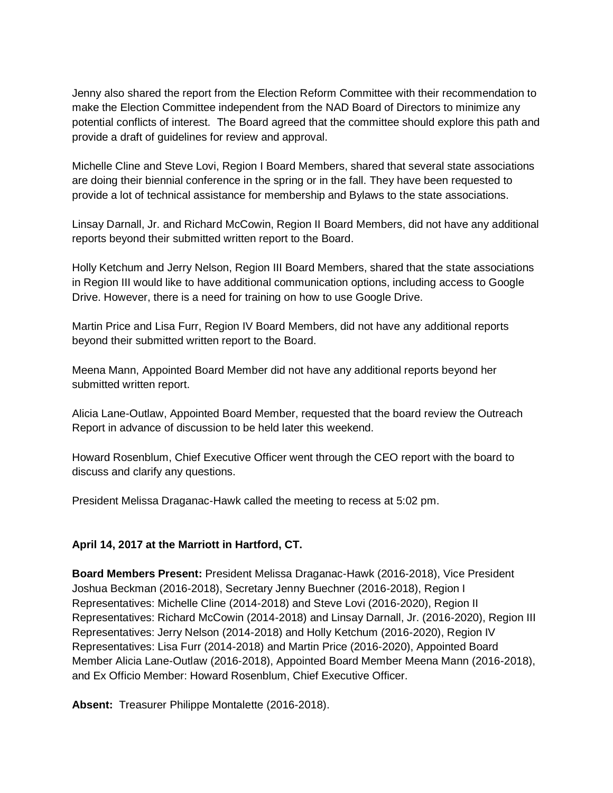Jenny also shared the report from the Election Reform Committee with their recommendation to make the Election Committee independent from the NAD Board of Directors to minimize any potential conflicts of interest. The Board agreed that the committee should explore this path and provide a draft of guidelines for review and approval.

Michelle Cline and Steve Lovi, Region I Board Members, shared that several state associations are doing their biennial conference in the spring or in the fall. They have been requested to provide a lot of technical assistance for membership and Bylaws to the state associations.

Linsay Darnall, Jr. and Richard McCowin, Region II Board Members, did not have any additional reports beyond their submitted written report to the Board.

Holly Ketchum and Jerry Nelson, Region III Board Members, shared that the state associations in Region III would like to have additional communication options, including access to Google Drive. However, there is a need for training on how to use Google Drive.

Martin Price and Lisa Furr, Region IV Board Members, did not have any additional reports beyond their submitted written report to the Board.

Meena Mann, Appointed Board Member did not have any additional reports beyond her submitted written report.

Alicia Lane-Outlaw, Appointed Board Member, requested that the board review the Outreach Report in advance of discussion to be held later this weekend.

Howard Rosenblum, Chief Executive Officer went through the CEO report with the board to discuss and clarify any questions.

President Melissa Draganac-Hawk called the meeting to recess at 5:02 pm.

## **April 14, 2017 at the Marriott in Hartford, CT.**

**Board Members Present:** President Melissa Draganac-Hawk (2016-2018), Vice President Joshua Beckman (2016-2018), Secretary Jenny Buechner (2016-2018), Region I Representatives: Michelle Cline (2014-2018) and Steve Lovi (2016-2020), Region II Representatives: Richard McCowin (2014-2018) and Linsay Darnall, Jr. (2016-2020), Region III Representatives: Jerry Nelson (2014-2018) and Holly Ketchum (2016-2020), Region IV Representatives: Lisa Furr (2014-2018) and Martin Price (2016-2020), Appointed Board Member Alicia Lane-Outlaw (2016-2018), Appointed Board Member Meena Mann (2016-2018), and Ex Officio Member: Howard Rosenblum, Chief Executive Officer.

**Absent:** Treasurer Philippe Montalette (2016-2018).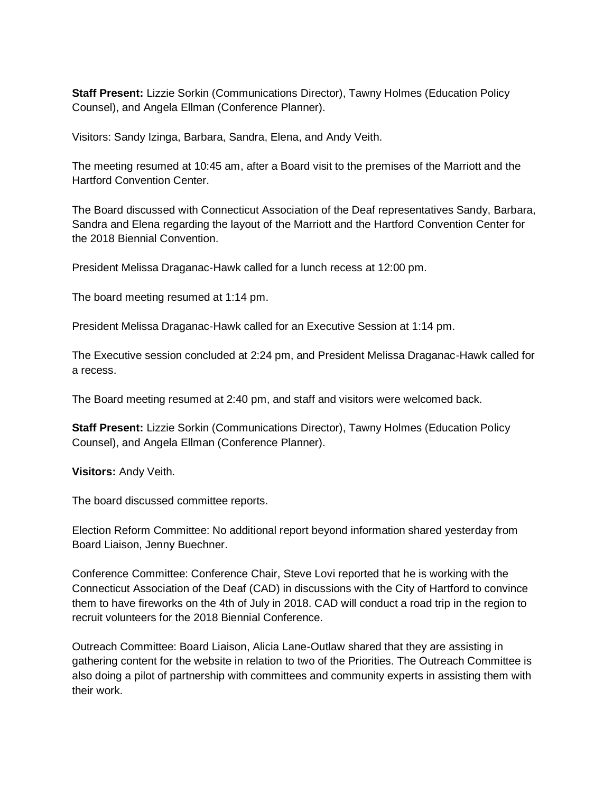**Staff Present:** Lizzie Sorkin (Communications Director), Tawny Holmes (Education Policy Counsel), and Angela Ellman (Conference Planner).

Visitors: Sandy Izinga, Barbara, Sandra, Elena, and Andy Veith.

The meeting resumed at 10:45 am, after a Board visit to the premises of the Marriott and the Hartford Convention Center.

The Board discussed with Connecticut Association of the Deaf representatives Sandy, Barbara, Sandra and Elena regarding the layout of the Marriott and the Hartford Convention Center for the 2018 Biennial Convention.

President Melissa Draganac-Hawk called for a lunch recess at 12:00 pm.

The board meeting resumed at 1:14 pm.

President Melissa Draganac-Hawk called for an Executive Session at 1:14 pm.

The Executive session concluded at 2:24 pm, and President Melissa Draganac-Hawk called for a recess.

The Board meeting resumed at 2:40 pm, and staff and visitors were welcomed back.

**Staff Present:** Lizzie Sorkin (Communications Director), Tawny Holmes (Education Policy Counsel), and Angela Ellman (Conference Planner).

**Visitors:** Andy Veith.

The board discussed committee reports.

Election Reform Committee: No additional report beyond information shared yesterday from Board Liaison, Jenny Buechner.

Conference Committee: Conference Chair, Steve Lovi reported that he is working with the Connecticut Association of the Deaf (CAD) in discussions with the City of Hartford to convince them to have fireworks on the 4th of July in 2018. CAD will conduct a road trip in the region to recruit volunteers for the 2018 Biennial Conference.

Outreach Committee: Board Liaison, Alicia Lane-Outlaw shared that they are assisting in gathering content for the website in relation to two of the Priorities. The Outreach Committee is also doing a pilot of partnership with committees and community experts in assisting them with their work.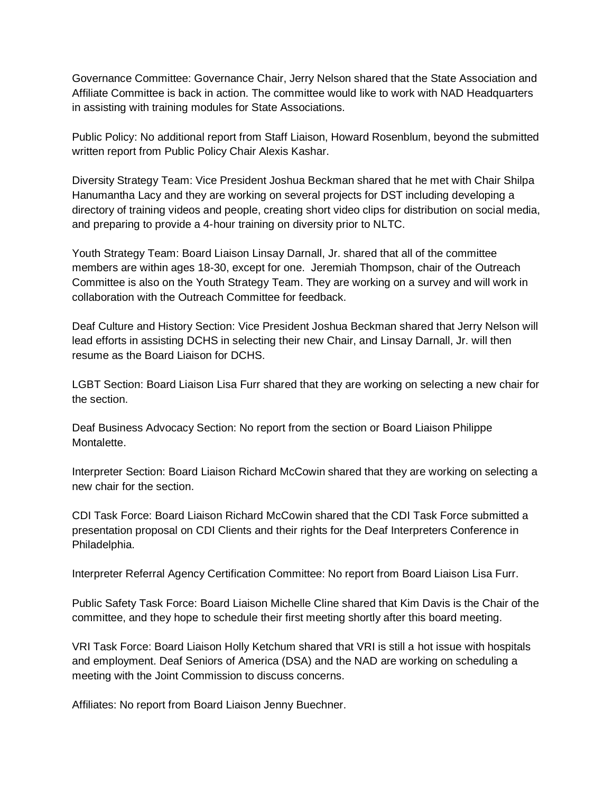Governance Committee: Governance Chair, Jerry Nelson shared that the State Association and Affiliate Committee is back in action. The committee would like to work with NAD Headquarters in assisting with training modules for State Associations.

Public Policy: No additional report from Staff Liaison, Howard Rosenblum, beyond the submitted written report from Public Policy Chair Alexis Kashar.

Diversity Strategy Team: Vice President Joshua Beckman shared that he met with Chair Shilpa Hanumantha Lacy and they are working on several projects for DST including developing a directory of training videos and people, creating short video clips for distribution on social media, and preparing to provide a 4-hour training on diversity prior to NLTC.

Youth Strategy Team: Board Liaison Linsay Darnall, Jr. shared that all of the committee members are within ages 18-30, except for one. Jeremiah Thompson, chair of the Outreach Committee is also on the Youth Strategy Team. They are working on a survey and will work in collaboration with the Outreach Committee for feedback.

Deaf Culture and History Section: Vice President Joshua Beckman shared that Jerry Nelson will lead efforts in assisting DCHS in selecting their new Chair, and Linsay Darnall, Jr. will then resume as the Board Liaison for DCHS.

LGBT Section: Board Liaison Lisa Furr shared that they are working on selecting a new chair for the section.

Deaf Business Advocacy Section: No report from the section or Board Liaison Philippe Montalette.

Interpreter Section: Board Liaison Richard McCowin shared that they are working on selecting a new chair for the section.

CDI Task Force: Board Liaison Richard McCowin shared that the CDI Task Force submitted a presentation proposal on CDI Clients and their rights for the Deaf Interpreters Conference in Philadelphia.

Interpreter Referral Agency Certification Committee: No report from Board Liaison Lisa Furr.

Public Safety Task Force: Board Liaison Michelle Cline shared that Kim Davis is the Chair of the committee, and they hope to schedule their first meeting shortly after this board meeting.

VRI Task Force: Board Liaison Holly Ketchum shared that VRI is still a hot issue with hospitals and employment. Deaf Seniors of America (DSA) and the NAD are working on scheduling a meeting with the Joint Commission to discuss concerns.

Affiliates: No report from Board Liaison Jenny Buechner.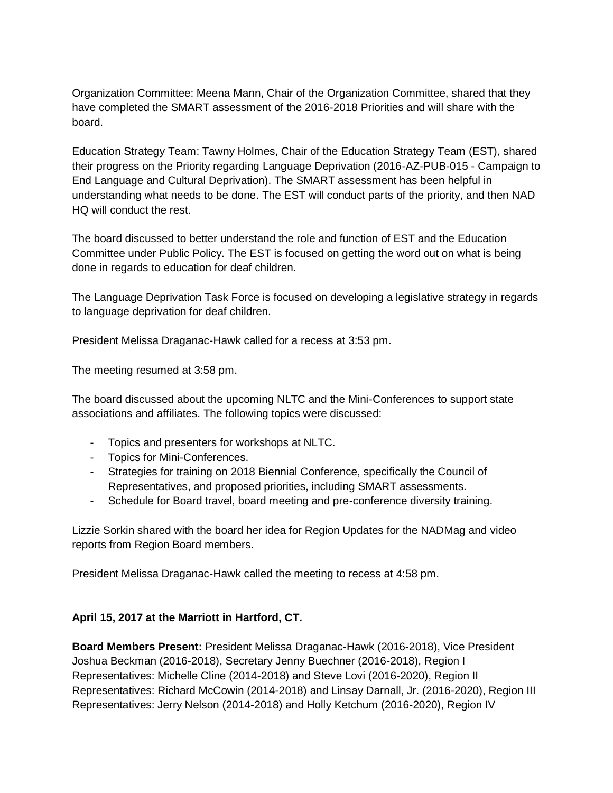Organization Committee: Meena Mann, Chair of the Organization Committee, shared that they have completed the SMART assessment of the 2016-2018 Priorities and will share with the board.

Education Strategy Team: Tawny Holmes, Chair of the Education Strategy Team (EST), shared their progress on the Priority regarding Language Deprivation (2016-AZ-PUB-015 - Campaign to End Language and Cultural Deprivation). The SMART assessment has been helpful in understanding what needs to be done. The EST will conduct parts of the priority, and then NAD HQ will conduct the rest.

The board discussed to better understand the role and function of EST and the Education Committee under Public Policy. The EST is focused on getting the word out on what is being done in regards to education for deaf children.

The Language Deprivation Task Force is focused on developing a legislative strategy in regards to language deprivation for deaf children.

President Melissa Draganac-Hawk called for a recess at 3:53 pm.

The meeting resumed at 3:58 pm.

The board discussed about the upcoming NLTC and the Mini-Conferences to support state associations and affiliates. The following topics were discussed:

- Topics and presenters for workshops at NLTC.
- Topics for Mini-Conferences.
- Strategies for training on 2018 Biennial Conference, specifically the Council of Representatives, and proposed priorities, including SMART assessments.
- Schedule for Board travel, board meeting and pre-conference diversity training.

Lizzie Sorkin shared with the board her idea for Region Updates for the NADMag and video reports from Region Board members.

President Melissa Draganac-Hawk called the meeting to recess at 4:58 pm.

## **April 15, 2017 at the Marriott in Hartford, CT.**

**Board Members Present:** President Melissa Draganac-Hawk (2016-2018), Vice President Joshua Beckman (2016-2018), Secretary Jenny Buechner (2016-2018), Region I Representatives: Michelle Cline (2014-2018) and Steve Lovi (2016-2020), Region II Representatives: Richard McCowin (2014-2018) and Linsay Darnall, Jr. (2016-2020), Region III Representatives: Jerry Nelson (2014-2018) and Holly Ketchum (2016-2020), Region IV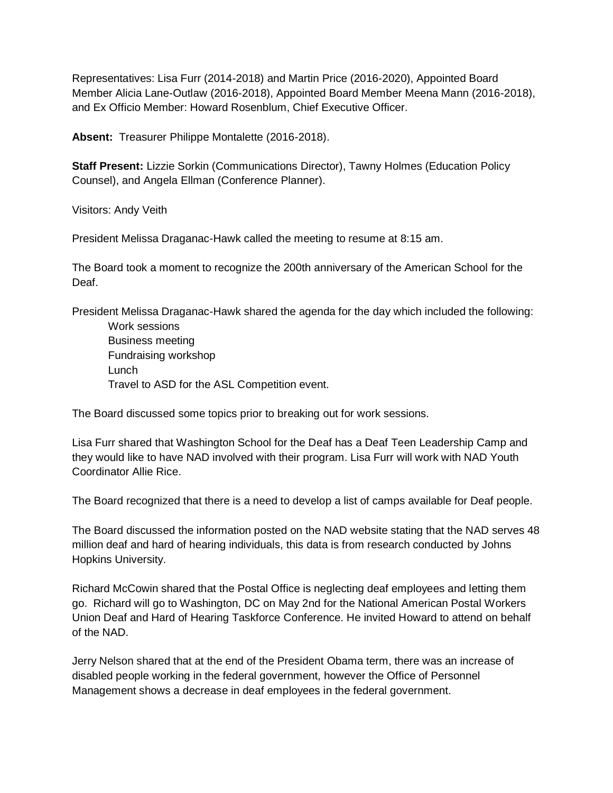Representatives: Lisa Furr (2014-2018) and Martin Price (2016-2020), Appointed Board Member Alicia Lane-Outlaw (2016-2018), Appointed Board Member Meena Mann (2016-2018), and Ex Officio Member: Howard Rosenblum, Chief Executive Officer.

**Absent:** Treasurer Philippe Montalette (2016-2018).

**Staff Present:** Lizzie Sorkin (Communications Director), Tawny Holmes (Education Policy Counsel), and Angela Ellman (Conference Planner).

Visitors: Andy Veith

President Melissa Draganac-Hawk called the meeting to resume at 8:15 am.

The Board took a moment to recognize the 200th anniversary of the American School for the Deaf.

President Melissa Draganac-Hawk shared the agenda for the day which included the following:

Work sessions Business meeting Fundraising workshop Lunch Travel to ASD for the ASL Competition event.

The Board discussed some topics prior to breaking out for work sessions.

Lisa Furr shared that Washington School for the Deaf has a Deaf Teen Leadership Camp and they would like to have NAD involved with their program. Lisa Furr will work with NAD Youth Coordinator Allie Rice.

The Board recognized that there is a need to develop a list of camps available for Deaf people.

The Board discussed the information posted on the NAD website stating that the NAD serves 48 million deaf and hard of hearing individuals, this data is from research conducted by Johns Hopkins University.

Richard McCowin shared that the Postal Office is neglecting deaf employees and letting them go. Richard will go to Washington, DC on May 2nd for the National American Postal Workers Union Deaf and Hard of Hearing Taskforce Conference. He invited Howard to attend on behalf of the NAD.

Jerry Nelson shared that at the end of the President Obama term, there was an increase of disabled people working in the federal government, however the Office of Personnel Management shows a decrease in deaf employees in the federal government.